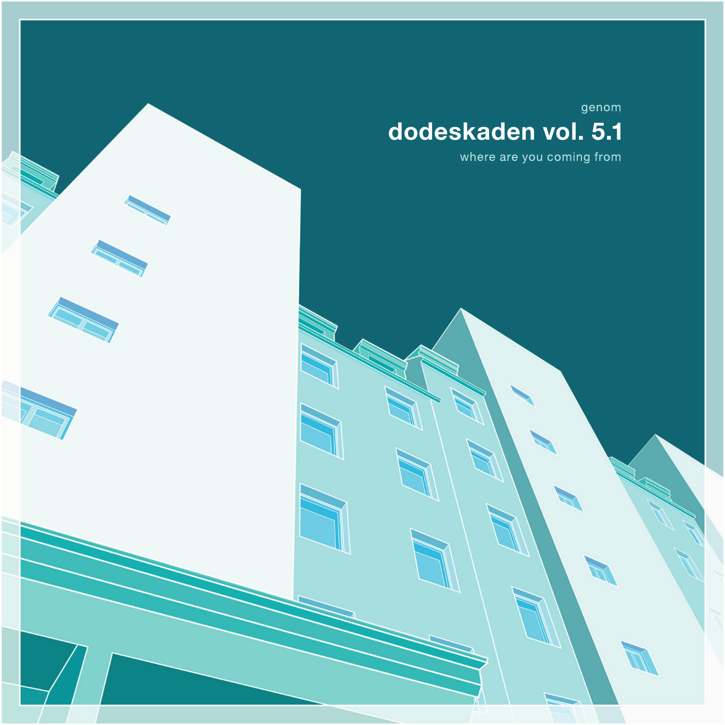## dodeskaden vol. 5.1

where are you coming from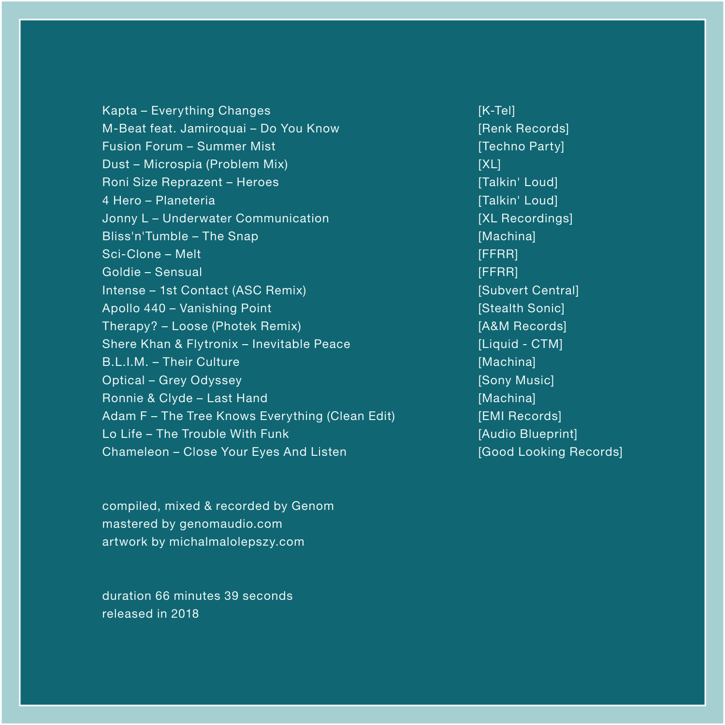Kapta – Everything Changes M-Beat feat. Jamiroquai – Do You Know Fusion Forum – Summer Mist Dust – Microspia (Problem Mix) Roni Size Reprazent – Heroes 4 Hero – Planeteria Jonny L – Underwater Communication Bliss'n'Tumble – The Snap Sci-Clone – Melt Goldie – Sensual Intense – 1st Contact (ASC Remix) Apollo 440 – Vanishing Point Therapy? – Loose (Photek Remix) Shere Khan & Flytronix – Inevitable Peace B.L.I.M. – Their Culture Optical – Grey Odyssey Ronnie & Clyde – Last Hand Adam F – The Tree Knows Everything (Clean Edit) Lo Life – The Trouble With Funk Chameleon – Close Your Eyes And Listen

compiled, mixed & recorded by Genom mastered by genomaudio.com artwork by michalmalolepszy.com

duration 66 minutes 39 seconds released in 2018

[K-Tel] [Renk Records] [Techno Party] [XL] [Talkin' Loud] [Talkin' Loud] [XL Recordings] [Machina] **[FFRR]** [FFRR] [Subvert Central] [Stealth Sonic] [A&M Records] [Liquid - CTM] [Machina] [Sony Music] [Machina] [EMI Records] [Audio Blueprint] [Good Looking Records]